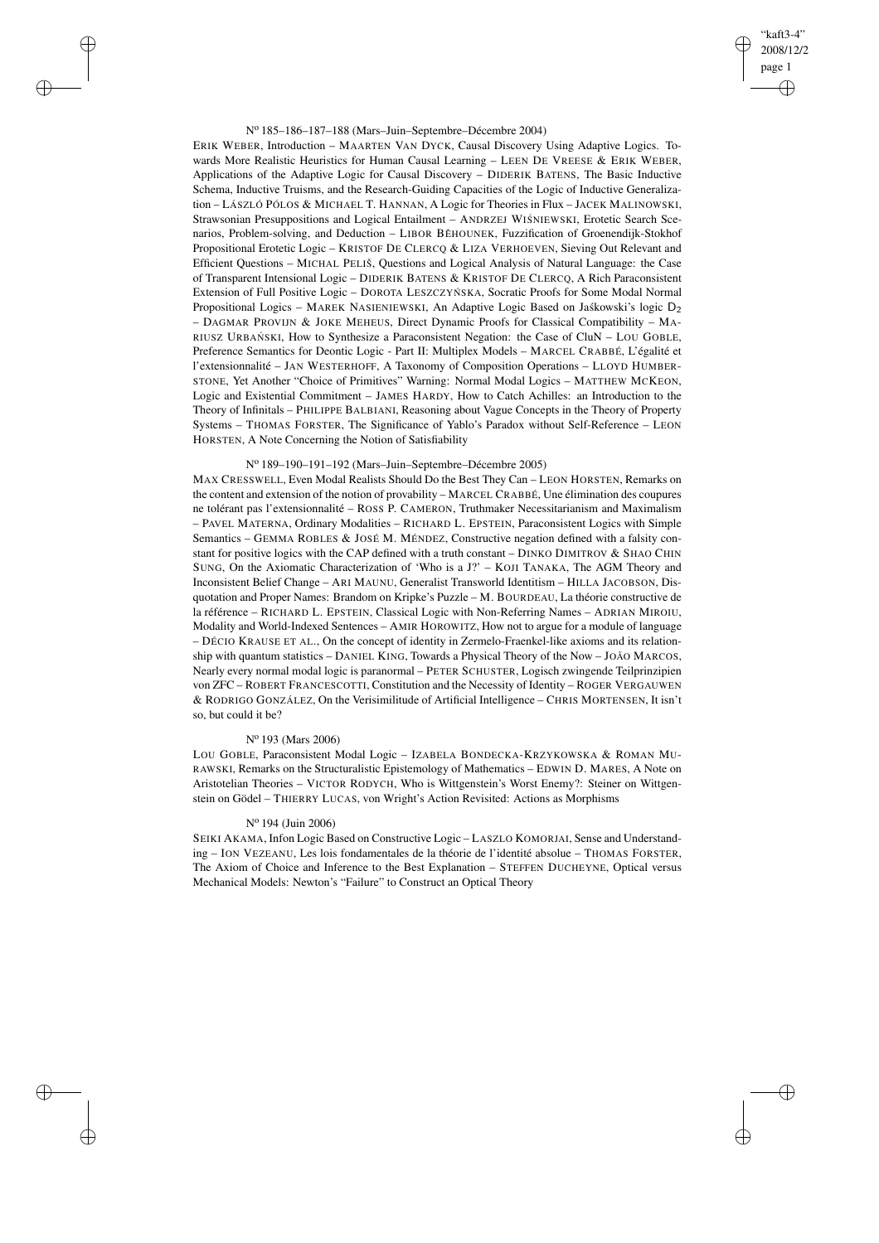# "kaft3-4" 2008/12/2 page 1 ✐ ✐

✐

✐

### N<sup>o</sup> 185–186–187–188 (Mars–Juin–Septembre–Décembre 2004)

✐

✐

✐

✐

ERIK WEBER, Introduction – MAARTEN VAN DYCK, Causal Discovery Using Adaptive Logics. Towards More Realistic Heuristics for Human Causal Learning – LEEN DE VREESE & ERIK WEBER, Applications of the Adaptive Logic for Causal Discovery – DIDERIK BATENS, The Basic Inductive Schema, Inductive Truisms, and the Research-Guiding Capacities of the Logic of Inductive Generalization – LÁSZLÓ PÓLOS & MICHAEL T. HANNAN, A Logic for Theories in Flux – JACEK MALINOWSKI, Strawsonian Presuppositions and Logical Entailment - ANDRZEJ WIŚNIEWSKI, Erotetic Search Scenarios, Problem-solving, and Deduction - LIBOR BĚHOUNEK, Fuzzification of Groenendijk-Stokhof Propositional Erotetic Logic – KRISTOF DE CLERCQ & LIZA VERHOEVEN, Sieving Out Relevant and Efficient Questions – MICHAL PELIŠ, Questions and Logical Analysis of Natural Language: the Case of Transparent Intensional Logic – DIDERIK BATENS & KRISTOF DE CLERCQ, A Rich Paraconsistent Extension of Full Positive Logic - DOROTA LESZCZYŃ SKA, Socratic Proofs for Some Modal Normal Propositional Logics – MAREK NASIENIEWSKI, An Adaptive Logic Based on Jaskowski's logic  $D_2$ – DAGMAR PROVIJN & JOKE MEHEUS, Direct Dynamic Proofs for Classical Compatibility – MA-RIUSZ URBAŃ SKI, How to Synthesize a Paraconsistent Negation: the Case of CluN – LOU GOBLE, Preference Semantics for Deontic Logic - Part II: Multiplex Models – MARCEL CRABBÉ, L'égalité et l'extensionnalité – JAN WESTERHOFF, A Taxonomy of Composition Operations – LLOYD HUMBER-STONE, Yet Another "Choice of Primitives" Warning: Normal Modal Logics – MATTHEW MCKEON, Logic and Existential Commitment – JAMES HARDY, How to Catch Achilles: an Introduction to the Theory of Infinitals – PHILIPPE BALBIANI, Reasoning about Vague Concepts in the Theory of Property Systems – THOMAS FORSTER, The Significance of Yablo's Paradox without Self-Reference – LEON HORSTEN, A Note Concerning the Notion of Satisfiability

# N<sup>o</sup> 189–190–191–192 (Mars–Juin–Septembre–Décembre 2005)

MAX CRESSWELL, Even Modal Realists Should Do the Best They Can – LEON HORSTEN, Remarks on the content and extension of the notion of provability – MARCEL CRABBÉ, Une élimination des coupures ne tolérant pas l'extensionnalité – ROSS P. CAMERON, Truthmaker Necessitarianism and Maximalism – PAVEL MATERNA, Ordinary Modalities – RICHARD L. EPSTEIN, Paraconsistent Logics with Simple Semantics – GEMMA ROBLES & JOSÉ M. MÉNDEZ, Constructive negation defined with a falsity constant for positive logics with the CAP defined with a truth constant – DINKO DIMITROV & SHAO CHIN SUNG, On the Axiomatic Characterization of 'Who is a J?' – KOJI TANAKA, The AGM Theory and Inconsistent Belief Change – ARI MAUNU, Generalist Transworld Identitism – HILLA JACOBSON, Disquotation and Proper Names: Brandom on Kripke's Puzzle – M. BOURDEAU, La théorie constructive de la référence – RICHARD L. EPSTEIN, Classical Logic with Non-Referring Names – ADRIAN MIROIU, Modality and World-Indexed Sentences – AMIR HOROWITZ, How not to argue for a module of language – DÉCIO KRAUSE ET AL., On the concept of identity in Zermelo-Fraenkel-like axioms and its relationship with quantum statistics – DANIEL KING, Towards a Physical Theory of the Now – JOÃO MARCOS, Nearly every normal modal logic is paranormal – PETER SCHUSTER, Logisch zwingende Teilprinzipien von ZFC – ROBERT FRANCESCOTTI, Constitution and the Necessity of Identity – ROGER VERGAUWEN & RODRIGO GONZÁLEZ, On the Verisimilitude of Artificial Intelligence – CHRIS MORTENSEN, It isn't so, but could it be?

#### N<sup>o</sup> 193 (Mars 2006)

LOU GOBLE, Paraconsistent Modal Logic – IZABELA BONDECKA-KRZYKOWSKA & ROMAN MU-RAWSKI, Remarks on the Structuralistic Epistemology of Mathematics – EDWIN D. MARES, A Note on Aristotelian Theories – VICTOR RODYCH, Who is Wittgenstein's Worst Enemy?: Steiner on Wittgenstein on Gödel – THIERRY LUCAS, von Wright's Action Revisited: Actions as Morphisms

#### N<sup>o</sup> 194 (Juin 2006)

SEIKI AKAMA, Infon Logic Based on Constructive Logic – LASZLO KOMORJAI, Sense and Understanding – ION VEZEANU, Les lois fondamentales de la théorie de l'identité absolue – THOMAS FORSTER, The Axiom of Choice and Inference to the Best Explanation – STEFFEN DUCHEYNE, Optical versus Mechanical Models: Newton's "Failure" to Construct an Optical Theory